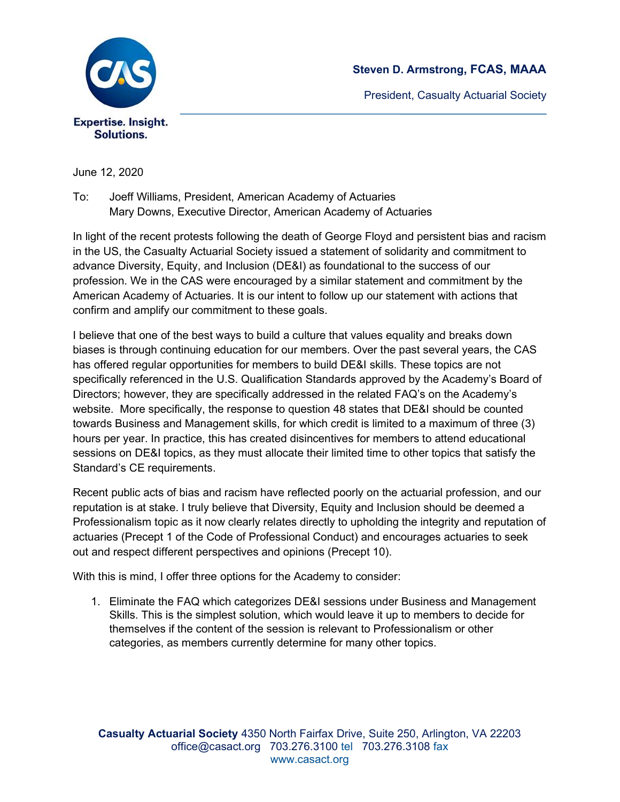

President, Casualty Actuarial Society

June 12, 2020

To: Joeff Williams, President, American Academy of Actuaries Mary Downs, Executive Director, American Academy of Actuaries

In light of the recent protests following the death of George Floyd and persistent bias and racism in the US, the Casualty Actuarial Society issued a statement of solidarity and commitment to advance Diversity, Equity, and Inclusion (DE&I) as foundational to the success of our profession. We in the CAS were encouraged by a similar statement and commitment by the American Academy of Actuaries. It is our intent to follow up our statement with actions that confirm and amplify our commitment to these goals.

I believe that one of the best ways to build a culture that values equality and breaks down biases is through continuing education for our members. Over the past several years, the CAS has offered regular opportunities for members to build DE&I skills. These topics are not specifically referenced in the U.S. Qualification Standards approved by the Academy's Board of Directors; however, they are specifically addressed in the related FAQ's on the Academy's website. More specifically, the response to question 48 states that DE&I should be counted towards Business and Management skills, for which credit is limited to a maximum of three (3) hours per year. In practice, this has created disincentives for members to attend educational sessions on DE&I topics, as they must allocate their limited time to other topics that satisfy the Standard's CE requirements.

Recent public acts of bias and racism have reflected poorly on the actuarial profession, and our reputation is at stake. I truly believe that Diversity, Equity and Inclusion should be deemed a Professionalism topic as it now clearly relates directly to upholding the integrity and reputation of actuaries (Precept 1 of the Code of Professional Conduct) and encourages actuaries to seek out and respect different perspectives and opinions (Precept 10).

With this is mind, I offer three options for the Academy to consider:

1. Eliminate the FAQ which categorizes DE&I sessions under Business and Management Skills. This is the simplest solution, which would leave it up to members to decide for themselves if the content of the session is relevant to Professionalism or other categories, as members currently determine for many other topics.